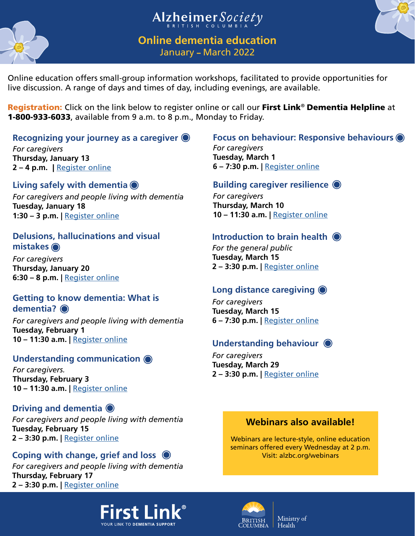



**Online dementia education** January – March 2022

Alzheimer Society

Online education offers small-group information workshops, facilitated to provide opportunities for live discussion. A range of days and times of day, including evenings, are available.

Registration: Click on the link below to register online or call our First Link*®* Dementia Helpline at 1-800-933-6033, available from 9 a.m. to 8 p.m., Monday to Friday.

### **Recognizing your journey as a caregiver**

*For caregivers* **Thursday, January 13 2 – 4 p.m.** | [Register online](https://alzheimerbc.akaraisin.com/ui/dementiaeducation4127/tickets)

# **Living safely with dementia**

*For caregivers and people living with dementia* **Tuesday, January 18 1:30 – 3 p.m. |** [Register online](https://alzheimerbc.akaraisin.com/ui/dementiaeducation4128/tickets)

*For caregivers* **Tuesday, March 1 6 – 7:30 p.m. |** Register online

*For caregivers* **Thursday, March 10 10 – 11:30 a.m. |** Register online

# **Delusions, hallucinations and visual**

*For caregivers* **Thursday, Januar 6:30 – 8 p.m.** | Re **mistakes**

Enhance your knowledge about dementia ral public **Recognizing your journey as a caregiver for corregivers<br>
Thursday, January 13**<br>
Thursday, January 13<br>
Thursday, March 10<br>
Election and people living with dementia (Building caregiver resilience (D<br>
Election caregivers and and learn about the different types of resources that are available at any stage of the disease.

**ch 15 Register online** 

# **Getting to know dementia: What is**

*For caregivers and people living with dementia* **Tuesday, February 1 10 – 11:30 a.m. |** Register online **dementia?** <br>
For caregivers and people living with d<br>
Tuesday, February 1<br>
10 – 11:30 a.m. | <u>Register online</u><br>
Understanding communication ©

*For caregivers.* **Thursday, February 3 10 – 11:30 a.m. |** [Register online](https://alzheimerbc.akaraisin.com/ui/dementiaeducation4137/tickets)

# **Driving and dementia**

*For caregivers and people living with dementia* **Tuesday, February 15 2 – 3:30 p.m. |** [Register online](https://alzheimerbc.akaraisin.com/ui/dementiaeducation4144/tickets)

*For caregivers and people living with dementia* **Thursday, February 17 2 – 3:30 p.m. |** [Register online](https://alzheimerbc.akaraisin.com/ui/dementiaeducation4139/tickets)

*For caregivers* **Tuesday, March 15 6 – 7:30 p.m. |** Register online

*For caregivers* **Tuesday, March 29 2 – 3:30 p.m. |** [Register online](https://alzheimerbc.akaraisin.com/ui/dementiaeducation4142/tickets)

# **[Webinars also available!](https://alzheimer.ca/bc/en/help-support/programs-services/webinars)**

Webinars are lecture-style, online education seminars offered every Wednesday at 2 p.m. Visit: alzbc.org/webinars